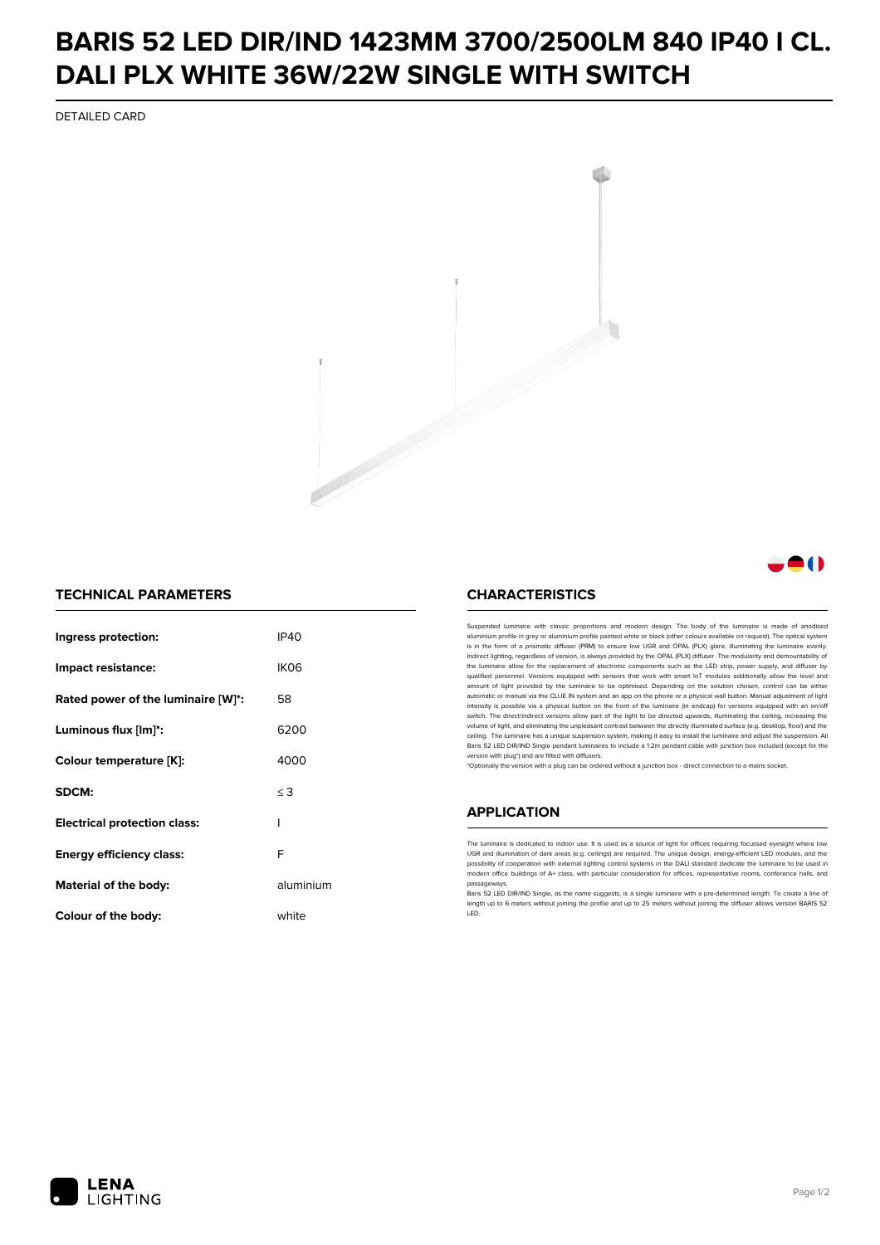## **BARIS 52 LED DIR/IND 1423MM 3700/2500LM 840 IP40 I CL. DALI PLX WHITE 36W/22W SINGLE WITH SWITCH**

DETAILED CARD



### 81 N

#### **TECHNICAL PARAMETERS**

| Ingress protection:                 | <b>IP40</b>      |
|-------------------------------------|------------------|
| Impact resistance:                  | IK <sub>06</sub> |
| Rated power of the luminaire [W]*:  | 58               |
| Luminous flux [lm]*:                | 6200             |
| Colour temperature [K]:             | 4000             |
| SDCM:                               | $\leq$ 3         |
| <b>Electrical protection class:</b> | ı                |
| Energy efficiency class:            | F                |
| Material of the body:               | aluminium        |
| Colour of the body:                 | white            |

#### **CHARACTERISTICS**

Suspended luminaire with classic proportions and modern design. The body of the luminaire is made of an aluminium profile in grey or aluminium profile painted white or black (other colours available on request). The optical system is in the form of a prismatic diffuser (PRM) to ensure low UGR and OPAL (PLX) glare, illuminating the luminaire evenly.<br>Indirect lighting, regardless of version, is always provided by the OPAL (PLX) diffuser. The modularit the luminaire allow for the replacement of electronic components such as the LED strip, power supply, and diffuser by qualified personnel. Versions equipped with sensors that work with smart IoT modules additionally allow the level and amount of light provided by the luminaire to be optimised. Depending on the solution chosen, control can be either automatic or manual via the CLUE IN system and an app on the phone or a physical wall button. Manual adjustment of light<br>intensity is possible via a physical button on the front of the luminaire (in endcap) for versions eq switch. The direct/indirect versions allow part of the light to be directed upwards, illuminating the ceiling, increasing the volume of light, and eliminating the unpleasant contrast between the directly illuminated surface (e.g. desktop, floor) and the ceiling. The luminaire has a unique suspension system, making it easy to install the luminaire and adjust the suspension. All Baris 52 LED DIR/IND Single pendant Iuminaires to include a 1.2m pendant cable with junction box included (except for the<br>version with plug\*) and are fitted with diffusers.

\*Optionally the version with a plug can be ordered without a junction box - direct connection to a mains socket.

#### **APPLICATION**

The luminaire is dedicated to indoor use. It is used as a source of light for offices requiring focussed eyesight where low UGR and illumination of dark areas (e.g. ceilings) are required. The unique design, energy-efficient LED modules, and the<br>possibility of cooperation with external lighting control systems in the DALI standard dedicate the modern office buildings of A+ class, with particular consideration for offices, representative rooms, conference halls, and passage

Baris 52 LED DIR/IND Single, as the name suggests, is a single luminaire with a pre-determined length. To create a line of length up to 6 meters without joining the profile and up to 25 meters without joining the diffuser allows version BARIS 52 LED.